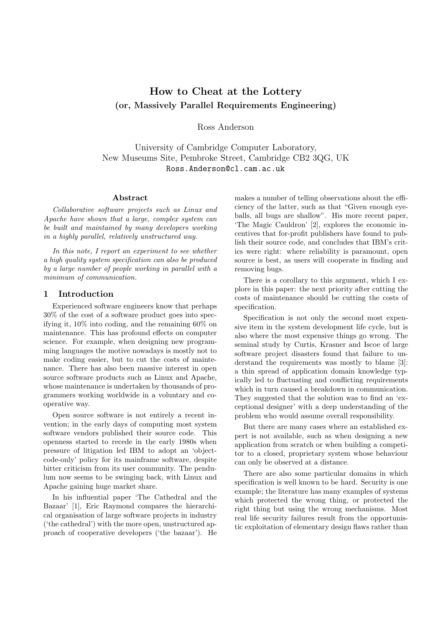# **How to Cheat at the Lottery (or, Massively Parallel Requirements Engineering)**

Ross Anderson

University of Cambridge Computer Laboratory, New Museums Site, Pembroke Street, Cambridge CB2 3QG, UK Ross.Anderson@cl.cam.ac.uk

#### **Abstract**

*Collaborative software projects such as Linux and Apache have shown that a large, complex system can be built and maintained by many developers working in a highly parallel, relatively unstructured way.*

*In this note, I report an experiment to see whether a high quality system specification can also be produced by a large number of people working in parallel with a minimum of communication.*

#### **1 Introduction**

Experienced software engineers know that perhaps 30% of the cost of a software product goes into specifying it, 10% into coding, and the remaining 60% on maintenance. This has profound effects on computer science. For example, when designing new programming languages the motive nowadays is mostly not to make coding easier, but to cut the costs of maintenance. There has also been massive interest in open source software products such as Linux and Apache, whose maintenance is undertaken by thousands of programmers working worldwide in a voluntary and cooperative way.

Open source software is not entirely a recent invention; in the early days of computing most system software vendors published their source code. This openness started to recede in the early 1980s when pressure of litigation led IBM to adopt an 'objectcode-only' policy for its mainframe software, despite bitter criticism from its user community. The pendulum now seems to be swinging back, with Linux and Apache gaining huge market share.

In his influential paper 'The Cathedral and the Bazaar' [1], Eric Raymond compares the hierarchical organisation of large software projects in industry ('the cathedral') with the more open, unstructured approach of cooperative developers ('the bazaar'). He

makes a number of telling observations about the efficiency of the latter, such as that "Given enough eyeballs, all bugs are shallow". His more recent paper, 'The Magic Cauldron' [2], explores the economic incentives that for-profit publishers have found to publish their source code, and concludes that IBM's critics were right: where reliability is paramount, open source is best, as users will cooperate in finding and removing bugs.

There is a corollary to this argument, which I explore in this paper: the next priority after cutting the costs of maintenance should be cutting the costs of specification.

Specification is not only the second most expensive item in the system development life cycle, but is also where the most expensive things go wrong. The seminal study by Curtis, Krasner and Iscoe of large software project disasters found that failure to understand the requirements was mostly to blame [3]: a thin spread of application domain knowledge typically led to fluctuating and conflicting requirements which in turn caused a breakdown in communication. They suggested that the solution was to find an 'exceptional designer' with a deep understanding of the problem who would assume overall responsibility.

But there are many cases where an established expert is not available, such as when designing a new application from scratch or when building a competitor to a closed, proprietary system whose behaviour can only be observed at a distance.

There are also some particular domains in which specification is well known to be hard. Security is one example; the literature has many examples of systems which protected the wrong thing, or protected the right thing but using the wrong mechanisms. Most real life security failures result from the opportunistic exploitation of elementary design flaws rather than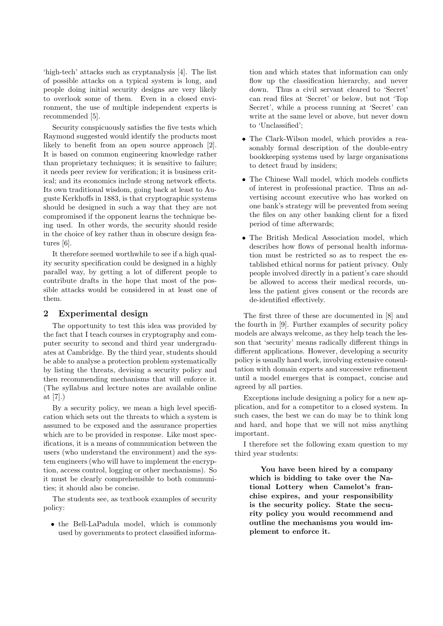'high-tech' attacks such as cryptanalysis [4]. The list of possible attacks on a typical system is long, and people doing initial security designs are very likely to overlook some of them. Even in a closed environment, the use of multiple independent experts is recommended [5].

Security conspicuously satisfies the five tests which Raymond suggested would identify the products most likely to benefit from an open source approach [2]. It is based on common engineering knowledge rather than proprietary techniques; it is sensitive to failure; it needs peer review for verification; it is business critical; and its economics include strong network effects. Its own traditional wisdom, going back at least to Auguste Kerkhoffs in 1883, is that cryptographic systems should be designed in such a way that they are not compromised if the opponent learns the technique being used. In other words, the security should reside in the choice of key rather than in obscure design features [6].

It therefore seemed worthwhile to see if a high quality security specification could be designed in a highly parallel way, by getting a lot of different people to contribute drafts in the hope that most of the possible attacks would be considered in at least one of them.

# **2 Experimental design**

The opportunity to test this idea was provided by the fact that I teach courses in cryptography and computer security to second and third year undergraduates at Cambridge. By the third year, students should be able to analyse a protection problem systematically by listing the threats, devising a security policy and then recommending mechanisms that will enforce it. (The syllabus and lecture notes are available online at [7].)

By a security policy, we mean a high level specification which sets out the threats to which a system is assumed to be exposed and the assurance properties which are to be provided in response. Like most specifications, it is a means of communication between the users (who understand the environment) and the system engineers (who will have to implement the encryption, access control, logging or other mechanisms). So it must be clearly comprehensible to both communities; it should also be concise.

The students see, as textbook examples of security policy:

• the Bell-LaPadula model, which is commonly used by governments to protect classified informa-

tion and which states that information can only flow up the classification hierarchy, and never down. Thus a civil servant cleared to 'Secret' can read files at 'Secret' or below, but not 'Top Secret', while a process running at 'Secret' can write at the same level or above, but never down to 'Unclassified';

- The Clark-Wilson model, which provides a reasonably formal description of the double-entry bookkeeping systems used by large organisations to detect fraud by insiders;
- The Chinese Wall model, which models conflicts of interest in professional practice. Thus an advertising account executive who has worked on one bank's strategy will be prevented from seeing the files on any other banking client for a fixed period of time afterwards;
- The British Medical Association model, which describes how flows of personal health information must be restricted so as to respect the established ethical norms for patient privacy. Only people involved directly in a patient's care should be allowed to access their medical records, unless the patient gives consent or the records are de-identified effectively.

The first three of these are documented in [8] and the fourth in [9]. Further examples of security policy models are always welcome, as they help teach the lesson that 'security' means radically different things in different applications. However, developing a security policy is usually hard work, involving extensive consultation with domain experts and successive refinement until a model emerges that is compact, concise and agreed by all parties.

Exceptions include designing a policy for a new application, and for a competitor to a closed system. In such cases, the best we can do may be to think long and hard, and hope that we will not miss anything important.

I therefore set the following exam question to my third year students:

**You have been hired by a company which is bidding to take over the National Lottery when Camelot's franchise expires, and your responsibility is the security policy. State the security policy you would recommend and outline the mechanisms you would implement to enforce it.**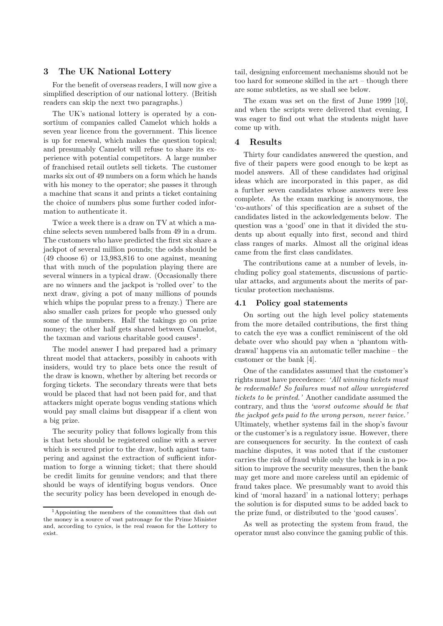# **3 The UK National Lottery**

For the benefit of overseas readers, I will now give a simplified description of our national lottery. (British readers can skip the next two paragraphs.)

The UK's national lottery is operated by a consortium of companies called Camelot which holds a seven year licence from the government. This licence is up for renewal, which makes the question topical; and presumably Camelot will refuse to share its experience with potential competitors. A large number of franchised retail outlets sell tickets. The customer marks six out of 49 numbers on a form which he hands with his money to the operator; she passes it through a machine that scans it and prints a ticket containing the choice of numbers plus some further coded information to authenticate it.

Twice a week there is a draw on TV at which a machine selects seven numbered balls from 49 in a drum. The customers who have predicted the first six share a jackpot of several million pounds; the odds should be (49 choose 6) or 13,983,816 to one against, meaning that with much of the population playing there are several winners in a typical draw. (Occasionally there are no winners and the jackpot is 'rolled over' to the next draw, giving a pot of many millions of pounds which whips the popular press to a frenzy.) There are also smaller cash prizes for people who guessed only some of the numbers. Half the takings go on prize money; the other half gets shared between Camelot, the taxman and various charitable good causes<sup>1</sup>.

The model answer I had prepared had a primary threat model that attackers, possibly in cahoots with insiders, would try to place bets once the result of the draw is known, whether by altering bet records or forging tickets. The secondary threats were that bets would be placed that had not been paid for, and that attackers might operate bogus vending stations which would pay small claims but disappear if a client won a big prize.

The security policy that follows logically from this is that bets should be registered online with a server which is secured prior to the draw, both against tampering and against the extraction of sufficient information to forge a winning ticket; that there should be credit limits for genuine vendors; and that there should be ways of identifying bogus vendors. Once the security policy has been developed in enough detail, designing enforcement mechanisms should not be too hard for someone skilled in the art – though there are some subtleties, as we shall see below.

The exam was set on the first of June 1999 [10], and when the scripts were delivered that evening, I was eager to find out what the students might have come up with.

# **4 Results**

Thirty four candidates answered the question, and five of their papers were good enough to be kept as model answers. All of these candidates had original ideas which are incorporated in this paper, as did a further seven candidates whose answers were less complete. As the exam marking is anonymous, the 'co-authors' of this specification are a subset of the candidates listed in the ackowledgements below. The question was a 'good' one in that it divided the students up about equally into first, second and third class ranges of marks. Almost all the original ideas came from the first class candidates.

The contributions came at a number of levels, including policy goal statements, discussions of particular attacks, and arguments about the merits of particular protection mechanisms.

#### **4.1 Policy goal statements**

On sorting out the high level policy statements from the more detailed contributions, the first thing to catch the eye was a conflict reminiscent of the old debate over who should pay when a 'phantom withdrawal' happens via an automatic teller machine – the customer or the bank [4].

One of the candidates assumed that the customer's rights must have precedence: *'All winning tickets must be redeemable! So failures must not allow unregistered tickets to be printed.'* Another candidate assumed the contrary, and thus the *'worst outcome should be that the jackpot gets paid to the wrong person, never twice.'* Ultimately, whether systems fail in the shop's favour or the customer's is a regulatory issue. However, there are consequences for security. In the context of cash machine disputes, it was noted that if the customer carries the risk of fraud while only the bank is in a position to improve the security measures, then the bank may get more and more careless until an epidemic of fraud takes place. We presumably want to avoid this kind of 'moral hazard' in a national lottery; perhaps the solution is for disputed sums to be added back to the prize fund, or distributed to the 'good causes'.

As well as protecting the system from fraud, the operator must also convince the gaming public of this.

<sup>1</sup>Appointing the members of the committees that dish out the money is a source of vast patronage for the Prime Minister and, according to cynics, is the real reason for the Lottery to exist.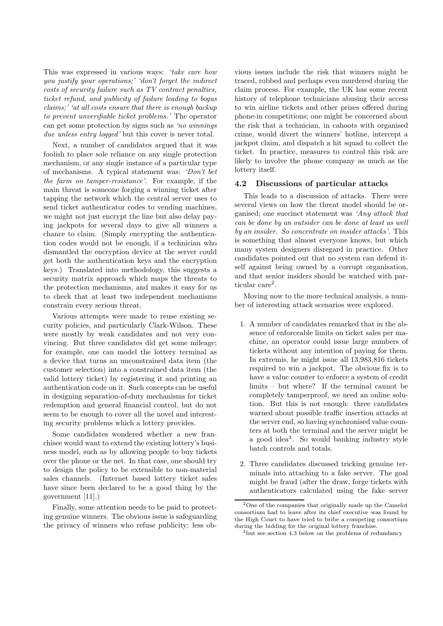This was expressed in various ways: *'take care how you justify your operations;' 'don't forget the indirect costs of security failure such as TV contract penalties, ticket refund, and publicity of failure leading to bogus claims;' 'at all costs ensure that there is enough backup to prevent unverifiable ticket problems.'* The operator can get some protection by signs such as *'no winnings due unless entry logged'* but this cover is never total.

Next, a number of candidates argued that it was foolish to place sole reliance on any single protection mechanism, or any single instance of a particular type of mechanisms. A typical statement was: *'Don't bet the farm on tamper-resistance'*. For example, if the main threat is someone forging a winning ticket after tapping the network which the central server uses to send ticket authenticator codes to vending machines, we might not just encrypt the line but also delay paying jackpots for several days to give all winners a chance to claim. (Simply encrypting the authentication codes would not be enough, if a technician who dismantled the encryption device at the server could get both the authentication keys and the encryption keys.) Translated into methodology, this suggests a security matrix approach which maps the threats to the protection mechanisms, and makes it easy for us to check that at least two independent mechanisms constrain every serious threat.

Various attempts were made to reuse existing security policies, and particularly Clark-Wilson. These were mostly by weak candidates and not very convincing. But three candidates did get some mileage; for example, one can model the lottery terminal as a device that turns an unconstrained data item (the customer selection) into a constrained data item (the valid lottery ticket) by registering it and printing an authentication code on it. Such concepts can be useful in designing separation-of-duty mechanisms for ticket redemption and general financial control, but do not seem to be enough to cover all the novel and interesting security problems which a lottery provides.

Some candidates wondered whether a new franchisee would want to extend the existing lottery's business model, such as by allowing people to buy tickets over the phone or the net. In that case, one should try to design the policy to be extensible to non-material sales channels. (Internet based lottery ticket sales have since been declared to be a good thing by the government [11].)

Finally, some attention needs to be paid to protecting genuine winners. The obvious issue is safeguarding the privacy of winners who refuse publicity; less ob-

vious issues include the risk that winners might be traced, robbed and perhaps even murdered during the claim process. For example, the UK has some recent history of telephone technicians abusing their access to win airline tickets and other prizes offered during phone-in competitions; one might be concerned about the risk that a technician, in cahoots with organised crime, would divert the winners' hotline, intercept a jackpot claim, and dispatch a hit squad to collect the ticket. In practice, measures to control this risk are likely to involve the phone company as much as the lottery itself.

#### **4.2 Discussions of particular attacks**

This leads to a discussion of attacks. There were several views on how the threat model should be organised; one succinct statement was *'Any attack that can be done by an outsider can be done at least as well by an insider. So concentrate on insider attacks'.* This is something that almost everyone knows, but which many system designers disregard in practice. Other candidates pointed out that no system can defend itself against being owned by a corrupt organisation, and that senior insiders should be watched with particular care<sup>2</sup>.

Moving now to the more technical analysis, a number of interesting attack scenarios were explored.

- 1. A number of candidates remarked that in the absence of enforceable limits on ticket sales per machine, an operator could issue large numbers of tickets without any intention of paying for them. In extremis, he might issue all 13,983,816 tickets required to win a jackpot. The obvious fix is to have a value counter to enforce a system of credit limits – but where? If the terminal cannot be completely tamperproof, we need an online solution. But this is not enough: three candidates warned about possible traffic insertion attacks at the server end, so having synchronised value counters at both the terminal and the server might be a good idea<sup>3</sup>. So would banking industry style batch controls and totals.
- 2. Three candidates discussed tricking genuine terminals into attaching to a fake server. The goal might be fraud (after the draw, forge tickets with authenticators calculated using the fake server

<sup>2</sup>One of the companies that originally made up the Camelot consortium had to leave after its chief executive was found by the High Court to have tried to bribe a competing consortium during the bidding for the original lottery franchise.

<sup>&</sup>lt;sup>3</sup>but see section 4.3 below on the problems of redundancy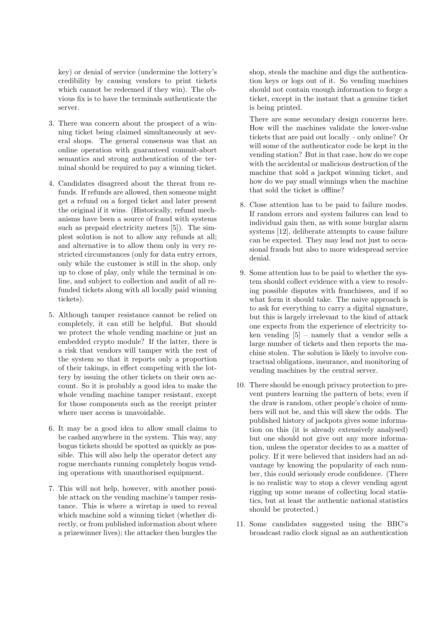key) or denial of service (undermine the lottery's credibility by causing vendors to print tickets which cannot be redeemed if they win). The obvious fix is to have the terminals authenticate the server.

- 3. There was concern about the prospect of a winning ticket being claimed simultaneously at several shops. The general consensus was that an online operation with guaranteed commit-abort semantics and strong authentication of the terminal should be required to pay a winning ticket.
- 4. Candidates disagreed about the threat from refunds. If refunds are allowed, then someone might get a refund on a forged ticket and later present the original if it wins. (Historically, refund mechanisms have been a source of fraud with systems such as prepaid electricity meters [5]). The simplest solution is not to allow any refunds at all; and alternative is to allow them only in very restricted circumstances (only for data entry errors, only while the customer is still in the shop, only up to close of play, only while the terminal is online, and subject to collection and audit of all refunded tickets along with all locally paid winning tickets).
- 5. Although tamper resistance cannot be relied on completely, it can still be helpful. But should we protect the whole vending machine or just an embedded crypto module? If the latter, there is a risk that vendors will tamper with the rest of the system so that it reports only a proportion of their takings, in effect competing with the lottery by issuing the other tickets on their own account. So it is probably a good idea to make the whole vending machine tamper resistant, except for those components such as the receipt printer where user access is unavoidable.
- 6. It may be a good idea to allow small claims to be cashed anywhere in the system. This way, any bogus tickets should be spotted as quickly as possible. This will also help the operator detect any rogue merchants running completely bogus vending operations with unauthorised equipment.
- 7. This will not help, however, with another possible attack on the vending machine's tamper resistance. This is where a wiretap is used to reveal which machine sold a winning ticket (whether directly, or from published information about where a prizewinner lives); the attacker then burgles the

shop, steals the machine and digs the authentication keys or logs out of it. So vending machines should not contain enough information to forge a ticket, except in the instant that a genuine ticket is being printed.

There are some secondary design concerns here. How will the machines validate the lower-value tickets that are paid out locally – only online? Or will some of the authenticator code be kept in the vending station? But in that case, how do we cope with the accidental or malicious destruction of the machine that sold a jackpot winning ticket, and how do we pay small winnings when the machine that sold the ticket is offline?

- 8. Close attention has to be paid to failure modes. If random errors and system failures can lead to individual gain then, as with some burglar alarm systems [12], deliberate attempts to cause failure can be expected. They may lead not just to occasional frauds but also to more widespread service denial.
- 9. Some attention has to be paid to whether the system should collect evidence with a view to resolving possible disputes with franchisees, and if so what form it should take. The naive approach is to ask for everything to carry a digital signature, but this is largely irrelevant to the kind of attack one expects from the experience of electricity token vending [5] – namely that a vendor sells a large number of tickets and then reports the machine stolen. The solution is likely to involve contractual obligations, insurance, and monitoring of vending machines by the central server.
- 10. There should be enough privacy protection to prevent punters learning the pattern of bets; even if the draw is random, other people's choice of numbers will not be, and this will skew the odds. The published history of jackpots gives some information on this (it is already extensively analysed) but one should not give out any more information, unless the operator decides to as a matter of policy. If it were believed that insiders had an advantage by knowing the popularity of each number, this could seriously erode confidence. (There is no realistic way to stop a clever vending agent rigging up some means of collecting local statistics, but at least the authentic national statistics should be protected.)
- 11. Some candidates suggested using the BBC's broadcast radio clock signal as an authentication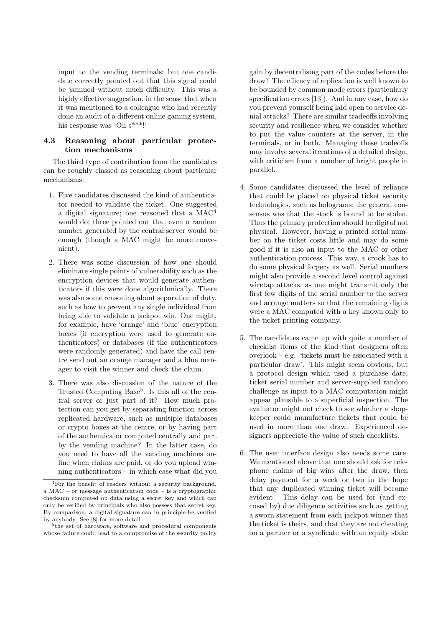input to the vending terminals; but one candidate correctly pointed out that this signal could be jammed without much difficulty. This was a highly effective suggestion, in the sense that when it was mentioned to a colleague who had recently done an audit of a different online gaming system, his response was 'Oh s\*\*\*!'

# **4.3 Reasoning about particular protection mechanisms**

The third type of contribution from the candidates can be roughly classed as reasoning about particular mechanisms.

- 1. Five candidates discussed the kind of authenticator needed to validate the ticket. One suggested a digital signature; one reasoned that a MAC<sup>4</sup> would do; three pointed out that even a random number generated by the central server would be enough (though a MAC might be more convenient).
- 2. There was some discussion of how one should eliminate single points of vulnerability such as the encryption devices that would generate authenticators if this were done algorithmically. There was also some reasoning about separation of duty, such as how to prevent any single individual from being able to validate a jackpot win. One might, for example, have 'orange' and 'blue' encryption boxes (if encryption were used to generate authenticators) or databases (if the authenticators were randomly generated) and have the call centre send out an orange manager and a blue manager to visit the winner and check the claim.
- 3. There was also discussion of the nature of the Trusted Computing Base<sup>5</sup>. Is this all of the central server or just part of it? How much protection can you get by separating function across replicated hardware, such as multiple databases or crypto boxes at the centre, or by having part of the authenticator computed centrally and part by the vending machine? In the latter case, do you need to have all the vending machines online when claims are paid, or do you upload winning authenticators – in which case what did you

gain by decentralising part of the codes before the draw? The efficacy of replication is well known to be bounded by common mode errors (particularly specification errors [13]). And in any case, how do you prevent yourself being laid open to service denial attacks? There are similar tradeoffs involving security and resilience when we consider whether to put the value counters at the server, in the terminals, or in both. Managing these tradeoffs may involve several iterations of a detailed design, with criticism from a number of bright people in parallel.

- 4. Some candidates discussed the level of reliance that could be placed on physical ticket security technologies, such as holograms; the general consensus was that the stock is bound to be stolen. Thus the primary protection should be digital not physical. However, having a printed serial number on the ticket costs little and may do some good if it is also an input to the MAC or other authentication process. This way, a crook has to do some physical forgery as well. Serial numbers might also provide a second level control against wiretap attacks, as one might transmit only the first few digits of the serial number to the server and arrange matters so that the remaining digits were a MAC computed with a key known only to the ticket printing company.
- 5. The candidates came up with quite a number of checklist items of the kind that designers often overlook – e.g. 'tickets must be associated with a particular draw'. This might seem obvious, but a protocol design which used a purchase date, ticket serial number and server-supplied random challenge as input to a MAC computation might appear plausible to a superficial inspection. The evaluator might not check to see whether a shopkeeper could manufacture tickets that could be used in more than one draw. Experienced designers appreciate the value of such checklists.
- 6. The user interface design also needs some care. We mentioned above that one should ask for telephone claims of big wins after the draw, then delay payment for a week or two in the hope that any duplicated winning ticket will become evident. This delay can be used for (and excused by) due diligence activities such as getting a sworn statement from each jackpot winner that the ticket is theirs, and that they are not cheating on a partner or a syndicate with an equity stake

<sup>4</sup>For the benefit of readers without a security background, a MAC – or message authentication code – is a cryptographic checksum computed on data using a secret key and which can only be verified by principals who also possess that secret key. By comparison, a digital signature can in principle be verified by anybody. See [8] for more detail

<sup>5</sup>the set of hardware, software and procedural components whose failure could lead to a compromise of the security policy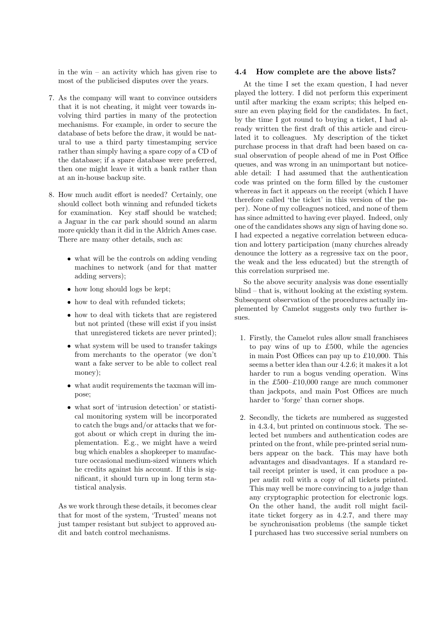in the win – an activity which has given rise to most of the publicised disputes over the years.

- 7. As the company will want to convince outsiders that it is not cheating, it might veer towards involving third parties in many of the protection mechanisms. For example, in order to secure the database of bets before the draw, it would be natural to use a third party timestamping service rather than simply having a spare copy of a CD of the database; if a spare database were preferred, then one might leave it with a bank rather than at an in-house backup site.
- 8. How much audit effort is needed? Certainly, one should collect both winning and refunded tickets for examination. Key staff should be watched; a Jaguar in the car park should sound an alarm more quickly than it did in the Aldrich Ames case. There are many other details, such as:
	- what will be the controls on adding vending machines to network (and for that matter adding servers);
	- how long should logs be kept;
	- how to deal with refunded tickets;
	- how to deal with tickets that are registered but not printed (these will exist if you insist that unregistered tickets are never printed);
	- what system will be used to transfer takings from merchants to the operator (we don't want a fake server to be able to collect real money);
	- what audit requirements the taxman will impose;
	- what sort of 'intrusion detection' or statistical monitoring system will be incorporated to catch the bugs and/or attacks that we forgot about or which crept in during the implementation. E.g., we might have a weird bug which enables a shopkeeper to manufacture occasional medium-sized winners which he credits against his account. If this is significant, it should turn up in long term statistical analysis.

As we work through these details, it becomes clear that for most of the system, 'Trusted' means not just tamper resistant but subject to approved audit and batch control mechanisms.

### **4.4 How complete are the above lists?**

At the time I set the exam question, I had never played the lottery. I did not perform this experiment until after marking the exam scripts; this helped ensure an even playing field for the candidates. In fact, by the time I got round to buying a ticket, I had already written the first draft of this article and circulated it to colleagues. My description of the ticket purchase process in that draft had been based on casual observation of people ahead of me in Post Office queues, and was wrong in an unimportant but noticeable detail: I had assumed that the authentication code was printed on the form filled by the customer whereas in fact it appears on the receipt (which I have therefore called 'the ticket' in this version of the paper). None of my colleagues noticed, and none of them has since admitted to having ever played. Indeed, only one of the candidates shows any sign of having done so. I had expected a negative correlation between education and lottery participation (many churches already denounce the lottery as a regressive tax on the poor, the weak and the less educated) but the strength of this correlation surprised me.

So the above security analysis was done essentially blind – that is, without looking at the existing system. Subsequent observation of the procedures actually implemented by Camelot suggests only two further issues.

- 1. Firstly, the Camelot rules allow small franchisees to pay wins of up to £500, while the agencies in main Post Offices can pay up to £10,000. This seems a better idea than our 4.2.6; it makes it a lot harder to run a bogus vending operation. Wins in the £500–£10,000 range are much commoner than jackpots, and main Post Offices are much harder to 'forge' than corner shops.
- 2. Secondly, the tickets are numbered as suggested in 4.3.4, but printed on continuous stock. The selected bet numbers and authentication codes are printed on the front, while pre-printed serial numbers appear on the back. This may have both advantages and disadvantages. If a standard retail receipt printer is used, it can produce a paper audit roll with a copy of all tickets printed. This may well be more convincing to a judge than any cryptographic protection for electronic logs. On the other hand, the audit roll might facilitate ticket forgery as in 4.2.7, and there may be synchronisation problems (the sample ticket I purchased has two successive serial numbers on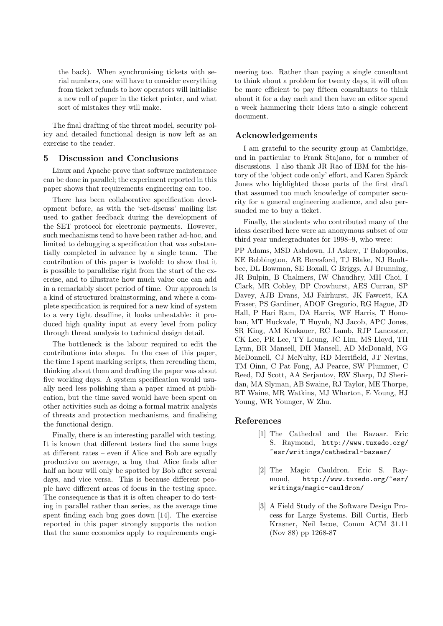the back). When synchronising tickets with serial numbers, one will have to consider everything from ticket refunds to how operators will initialise a new roll of paper in the ticket printer, and what sort of mistakes they will make.

The final drafting of the threat model, security policy and detailed functional design is now left as an exercise to the reader.

# **5 Discussion and Conclusions**

Linux and Apache prove that software maintenance can be done in parallel; the experiment reported in this paper shows that requirements engineering can too.

There has been collaborative specification development before, as with the 'set-discuss' mailing list used to gather feedback during the development of the SET protocol for electronic payments. However, such mechanisms tend to have been rather ad-hoc, and limited to debugging a specification that was substantially completed in advance by a single team. The contribution of this paper is twofold: to show that it is possible to parallelise right from the start of the exercise, and to illustrate how much value one can add in a remarkably short period of time. Our approach is a kind of structured brainstorming, and where a complete specification is required for a new kind of system to a very tight deadline, it looks unbeatable: it produced high quality input at every level from policy through threat analysis to technical design detail.

The bottleneck is the labour required to edit the contributions into shape. In the case of this paper, the time I spent marking scripts, then rereading them, thinking about them and drafting the paper was about five working days. A system specification would usually need less polishing than a paper aimed at publication, but the time saved would have been spent on other activities such as doing a formal matrix analysis of threats and protection mechanisms, and finalising the functional design.

Finally, there is an interesting parallel with testing. It is known that different testers find the same bugs at different rates – even if Alice and Bob are equally productive on average, a bug that Alice finds after half an hour will only be spotted by Bob after several days, and vice versa. This is because different people have different areas of focus in the testing space. The consequence is that it is often cheaper to do testing in parallel rather than series, as the average time spent finding each bug goes down [14]. The exercise reported in this paper strongly supports the notion that the same economics apply to requirements engineering too. Rather than paying a single consultant to think about a problem for twenty days, it will often be more efficient to pay fifteen consultants to think about it for a day each and then have an editor spend a week hammering their ideas into a single coherent document.

# **Acknowledgements**

I am grateful to the security group at Cambridge, and in particular to Frank Stajano, for a number of discussions. I also thank JR Rao of IBM for the history of the 'object code only' effort, and Karen Spärck Jones who highlighted those parts of the first draft that assumed too much knowledge of computer security for a general engineering audience, and also persuaded me to buy a ticket.

Finally, the students who contributed many of the ideas described here were an anonymous subset of our third year undergraduates for 1998–9, who were:

PP Adams, MSD Ashdown, JJ Askew, T Balopoulos, KE Bebbington, AR Beresford, TJ Blake, NJ Boultbee, DL Bowman, SE Boxall, G Briggs, AJ Brunning, JR Bulpin, B Chalmers, IW Chaudhry, MH Choi, I Clark, MR Cobley, DP Crowhurst, AES Curran, SP Davey, AJB Evans, MJ Fairhurst, JK Fawcett, KA Fraser, PS Gardiner, ADOF Gregorio, RG Hague, JD Hall, P Hari Ram, DA Harris, WF Harris, T Honohan, MT Huckvale, T Huynh, NJ Jacob, APC Jones, SR King, AM Krakauer, RC Lamb, RJP Lancaster, CK Lee, PR Lee, TY Leung, JC Lim, MS Lloyd, TH Lynn, BR Mansell, DH Mansell, AD McDonald, NG McDonnell, CJ McNulty, RD Merrifield, JT Nevins, TM Oinn, C Pat Fong, AJ Pearce, SW Plummer, C Reed, DJ Scott, AA Serjantov, RW Sharp, DJ Sheridan, MA Slyman, AB Swaine, RJ Taylor, ME Thorpe, BT Waine, MR Watkins, MJ Wharton, E Young, HJ Young, WR Younger, W Zhu.

# **References**

- [1] The Cathedral and the Bazaar. Eric S. Raymond, http://www.tuxedo.org/ ~esr/writings/cathedral-bazaar/
- [2] The Magic Cauldron. Eric S. Raymond, http://www.tuxedo.org/~esr/ writings/magic-cauldron/
- [3] A Field Study of the Software Design Process for Large Systems. Bill Curtis, Herb Krasner, Neil Iscoe, Comm ACM 31.11 (Nov 88) pp 1268-87